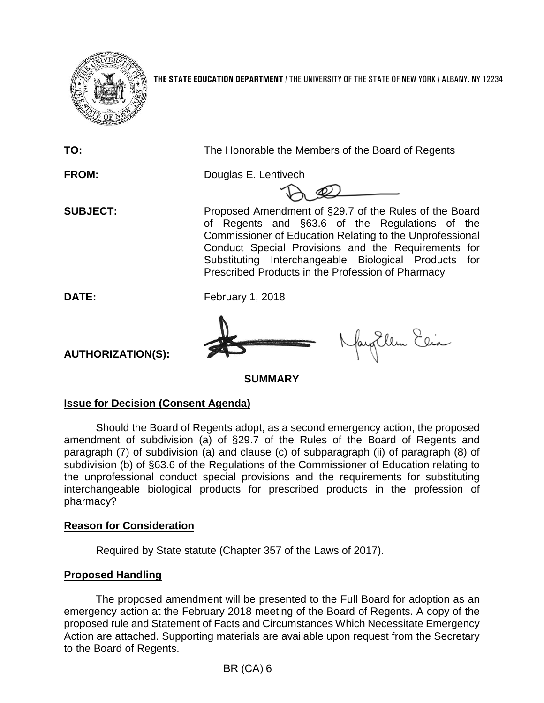

**THE STATE EDUCATION DEPARTMENT** / THE UNIVERSITY OF THE STATE OF NEW YORK / ALBANY, NY 12234

**TO:** The Honorable the Members of the Board of Regents

**FROM:** Douglas E. Lentivech

**SUBJECT:** Proposed Amendment of §29.7 of the Rules of the Board of Regents and §63.6 of the Regulations of the Commissioner of Education Relating to the Unprofessional Conduct Special Provisions and the Requirements for Substituting Interchangeable Biological Products for Prescribed Products in the Profession of Pharmacy

**DATE:** February 1, 2018



fayEllen Elia

**AUTHORIZATION(S):**

**SUMMARY**

## **Issue for Decision (Consent Agenda)**

Should the Board of Regents adopt, as a second emergency action, the proposed amendment of subdivision (a) of §29.7 of the Rules of the Board of Regents and paragraph (7) of subdivision (a) and clause (c) of subparagraph (ii) of paragraph (8) of subdivision (b) of §63.6 of the Regulations of the Commissioner of Education relating to the unprofessional conduct special provisions and the requirements for substituting interchangeable biological products for prescribed products in the profession of pharmacy?

## **Reason for Consideration**

Required by State statute (Chapter 357 of the Laws of 2017).

## **Proposed Handling**

The proposed amendment will be presented to the Full Board for adoption as an emergency action at the February 2018 meeting of the Board of Regents. A copy of the proposed rule and Statement of Facts and Circumstances Which Necessitate Emergency Action are attached. Supporting materials are available upon request from the Secretary to the Board of Regents.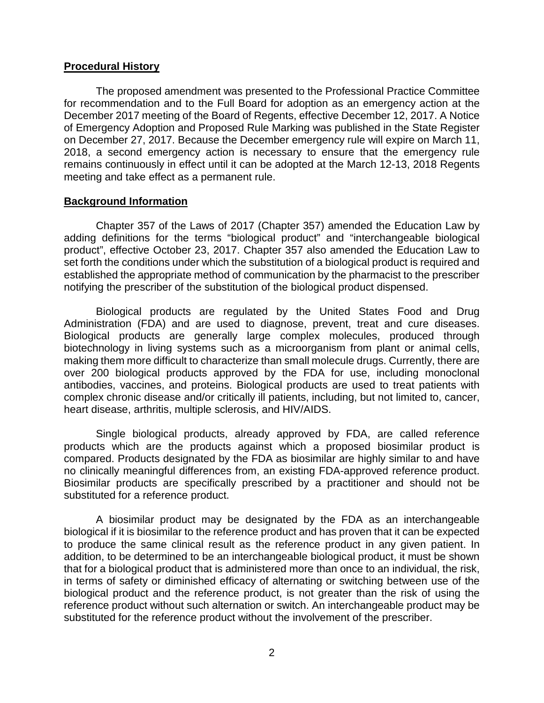#### **Procedural History**

The proposed amendment was presented to the Professional Practice Committee for recommendation and to the Full Board for adoption as an emergency action at the December 2017 meeting of the Board of Regents, effective December 12, 2017. A Notice of Emergency Adoption and Proposed Rule Marking was published in the State Register on December 27, 2017. Because the December emergency rule will expire on March 11, 2018, a second emergency action is necessary to ensure that the emergency rule remains continuously in effect until it can be adopted at the March 12-13, 2018 Regents meeting and take effect as a permanent rule.

### **Background Information**

Chapter 357 of the Laws of 2017 (Chapter 357) amended the Education Law by adding definitions for the terms "biological product" and "interchangeable biological product", effective October 23, 2017. Chapter 357 also amended the Education Law to set forth the conditions under which the substitution of a biological product is required and established the appropriate method of communication by the pharmacist to the prescriber notifying the prescriber of the substitution of the biological product dispensed.

Biological products are regulated by the United States Food and Drug Administration (FDA) and are used to diagnose, prevent, treat and cure diseases. Biological products are generally large complex molecules, produced through biotechnology in living systems such as a microorganism from plant or animal cells, making them more difficult to characterize than small molecule drugs. Currently, there are over 200 biological products approved by the FDA for use, including monoclonal antibodies, vaccines, and proteins. Biological products are used to treat patients with complex chronic disease and/or critically ill patients, including, but not limited to, cancer, heart disease, arthritis, multiple sclerosis, and HIV/AIDS.

Single biological products, already approved by FDA, are called reference products which are the products against which a proposed biosimilar product is compared. Products designated by the FDA as biosimilar are highly similar to and have no clinically meaningful differences from, an existing FDA-approved reference product. Biosimilar products are specifically prescribed by a practitioner and should not be substituted for a reference product.

A biosimilar product may be designated by the FDA as an interchangeable biological if it is biosimilar to the reference product and has proven that it can be expected to produce the same clinical result as the reference product in any given patient. In addition, to be determined to be an interchangeable biological product, it must be shown that for a biological product that is administered more than once to an individual, the risk, in terms of safety or diminished efficacy of alternating or switching between use of the biological product and the reference product, is not greater than the risk of using the reference product without such alternation or switch. An interchangeable product may be substituted for the reference product without the involvement of the prescriber.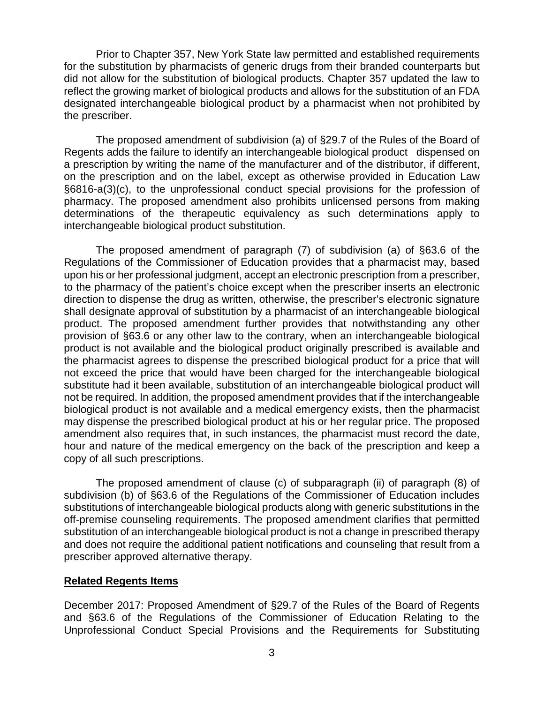Prior to Chapter 357, New York State law permitted and established requirements for the substitution by pharmacists of generic drugs from their branded counterparts but did not allow for the substitution of biological products. Chapter 357 updated the law to reflect the growing market of biological products and allows for the substitution of an FDA designated interchangeable biological product by a pharmacist when not prohibited by the prescriber.

The proposed amendment of subdivision (a) of §29.7 of the Rules of the Board of Regents adds the failure to identify an interchangeable biological product dispensed on a prescription by writing the name of the manufacturer and of the distributor, if different, on the prescription and on the label, except as otherwise provided in Education Law §6816-a(3)(c), to the unprofessional conduct special provisions for the profession of pharmacy. The proposed amendment also prohibits unlicensed persons from making determinations of the therapeutic equivalency as such determinations apply to interchangeable biological product substitution.

The proposed amendment of paragraph (7) of subdivision (a) of §63.6 of the Regulations of the Commissioner of Education provides that a pharmacist may, based upon his or her professional judgment, accept an electronic prescription from a prescriber, to the pharmacy of the patient's choice except when the prescriber inserts an electronic direction to dispense the drug as written, otherwise, the prescriber's electronic signature shall designate approval of substitution by a pharmacist of an interchangeable biological product. The proposed amendment further provides that notwithstanding any other provision of §63.6 or any other law to the contrary, when an interchangeable biological product is not available and the biological product originally prescribed is available and the pharmacist agrees to dispense the prescribed biological product for a price that will not exceed the price that would have been charged for the interchangeable biological substitute had it been available, substitution of an interchangeable biological product will not be required. In addition, the proposed amendment provides that if the interchangeable biological product is not available and a medical emergency exists, then the pharmacist may dispense the prescribed biological product at his or her regular price. The proposed amendment also requires that, in such instances, the pharmacist must record the date, hour and nature of the medical emergency on the back of the prescription and keep a copy of all such prescriptions.

The proposed amendment of clause (c) of subparagraph (ii) of paragraph (8) of subdivision (b) of §63.6 of the Regulations of the Commissioner of Education includes substitutions of interchangeable biological products along with generic substitutions in the off-premise counseling requirements. The proposed amendment clarifies that permitted substitution of an interchangeable biological product is not a change in prescribed therapy and does not require the additional patient notifications and counseling that result from a prescriber approved alternative therapy.

### **Related Regents Items**

December 2017: Proposed Amendment of §29.7 of the Rules of the Board of Regents and §63.6 of the Regulations of the Commissioner of Education Relating to the Unprofessional Conduct Special Provisions and the Requirements for Substituting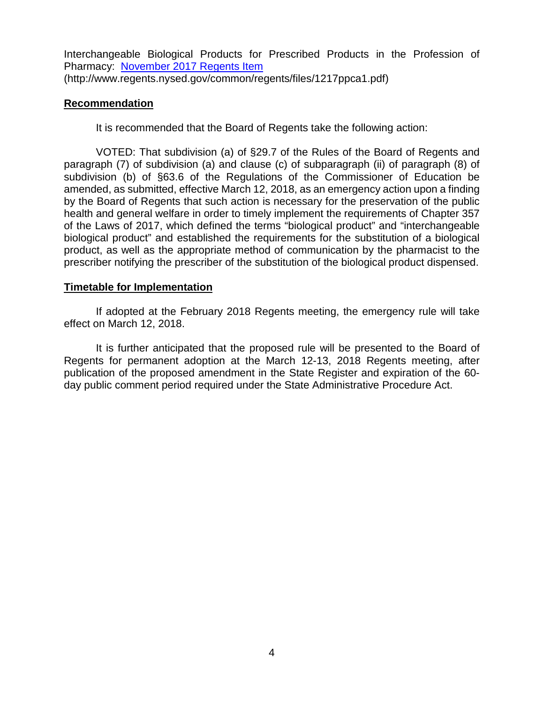Interchangeable Biological Products for Prescribed Products in the Profession of Pharmacy: [November 2017 Regents Item](http://www.regents.nysed.gov/common/regents/files/1217ppca1.pdf) (http://www.regents.nysed.gov/common/regents/files/1217ppca1.pdf)

#### **Recommendation**

It is recommended that the Board of Regents take the following action:

VOTED: That subdivision (a) of §29.7 of the Rules of the Board of Regents and paragraph (7) of subdivision (a) and clause (c) of subparagraph (ii) of paragraph (8) of subdivision (b) of §63.6 of the Regulations of the Commissioner of Education be amended, as submitted, effective March 12, 2018, as an emergency action upon a finding by the Board of Regents that such action is necessary for the preservation of the public health and general welfare in order to timely implement the requirements of Chapter 357 of the Laws of 2017, which defined the terms "biological product" and "interchangeable biological product" and established the requirements for the substitution of a biological product, as well as the appropriate method of communication by the pharmacist to the prescriber notifying the prescriber of the substitution of the biological product dispensed.

#### **Timetable for Implementation**

If adopted at the February 2018 Regents meeting, the emergency rule will take effect on March 12, 2018.

It is further anticipated that the proposed rule will be presented to the Board of Regents for permanent adoption at the March 12-13, 2018 Regents meeting, after publication of the proposed amendment in the State Register and expiration of the 60 day public comment period required under the State Administrative Procedure Act.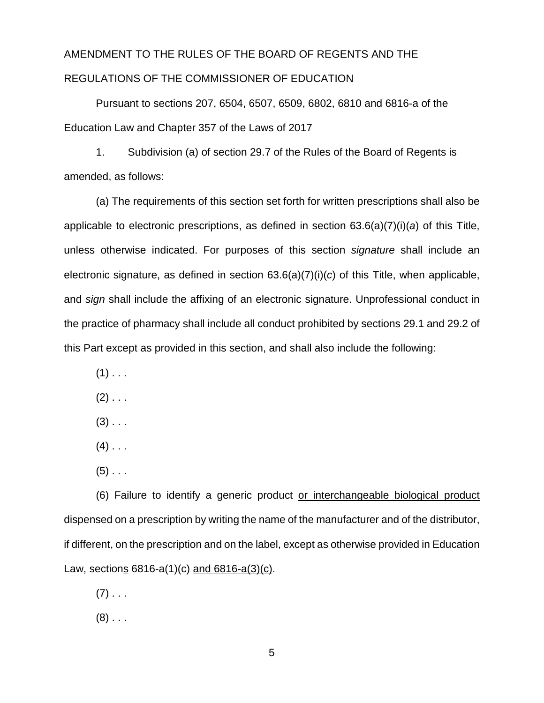# AMENDMENT TO THE RULES OF THE BOARD OF REGENTS AND THE REGULATIONS OF THE COMMISSIONER OF EDUCATION

Pursuant to sections 207, 6504, 6507, 6509, 6802, 6810 and 6816-a of the Education Law and Chapter 357 of the Laws of 2017

1. Subdivision (a) of section 29.7 of the Rules of the Board of Regents is amended, as follows:

(a) The requirements of this section set forth for written prescriptions shall also be applicable to electronic prescriptions, as defined in section 63.6(a)(7)(i)(*a*) of this Title, unless otherwise indicated. For purposes of this section *signature* shall include an electronic signature, as defined in section 63.6(a)(7)(i)(*c*) of this Title, when applicable, and *sign* shall include the affixing of an electronic signature. Unprofessional conduct in the practice of pharmacy shall include all conduct prohibited by sections 29.1 and 29.2 of this Part except as provided in this section, and shall also include the following:

- $(1)$  . . .
- $(2)$  . . .
- $(3)$  . . .
- $(4)$  . . .
- $(5)$  . . .

(6) Failure to identify a generic product or interchangeable biological product dispensed on a prescription by writing the name of the manufacturer and of the distributor, if different, on the prescription and on the label, except as otherwise provided in Education Law, sections 6816-a(1)(c) and 6816-a(3)(c).

 $(7)$  . . .

 $(8)$  . . .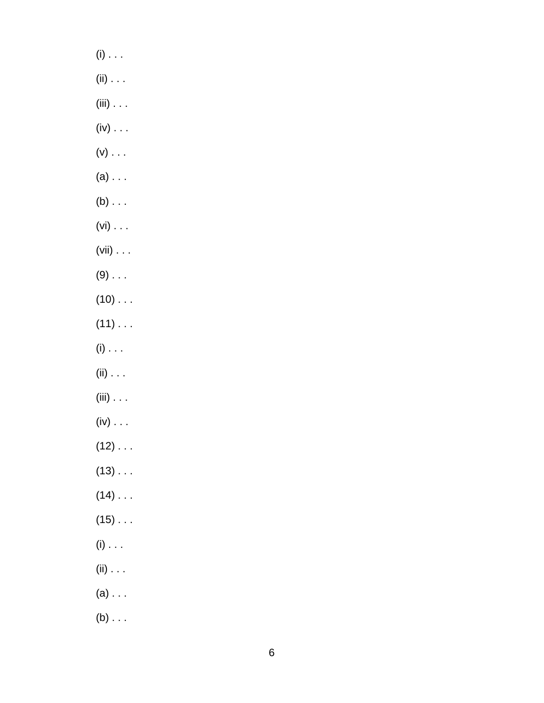$(\mathsf{i})$  . . . (ii)  $\ldots$ (iii) . . .  $(iv) \ldots$  $(v)$  . . .  $(a)$ ... (b)  $\ldots$ (vi)  $\ldots$  $(vii) \ldots$  $(9)$ ...  $(10)$  . . .  $(11) \ldots$  $(\mathsf{i})$  . . .  $(ii) \ldots$  $(iii) \ldots$  $(iv) \dots$  $(12) \ldots$  $(13) \ldots$  $(14)$ ...  $(15) \ldots$  $(i)$ ...  $(ii) . . .$  $(a) \ldots$  $(b) \ldots$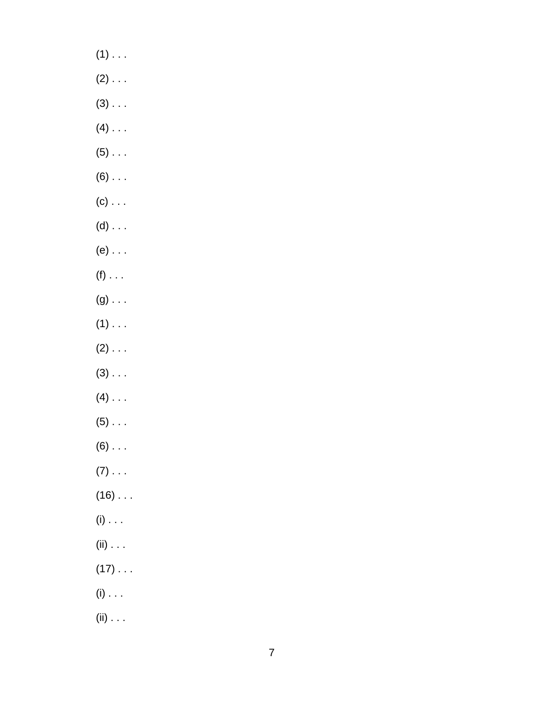- $(1)$  ...  $(2) \ldots$  $(3) \ldots$  $(4)$ ...  $(5) \ldots$  $(6)$  . . .
- $(c)$ ...
- $(d)$ ...
- $(e)$ ...
- $(f)$  . . .
- $(g) \ldots$
- $(1)$  ...
- $(2) \ldots$
- $(3)$ ...
- $(4)$ ...
- $(5) \ldots$
- $(6)$ ...
- $(7)$ ...
- $(16) \ldots$
- $(i)$ ...
- $(ii) \ldots$
- $(17) \ldots$
- $(\mathsf{i})$  . . .
- $(ii) . . .$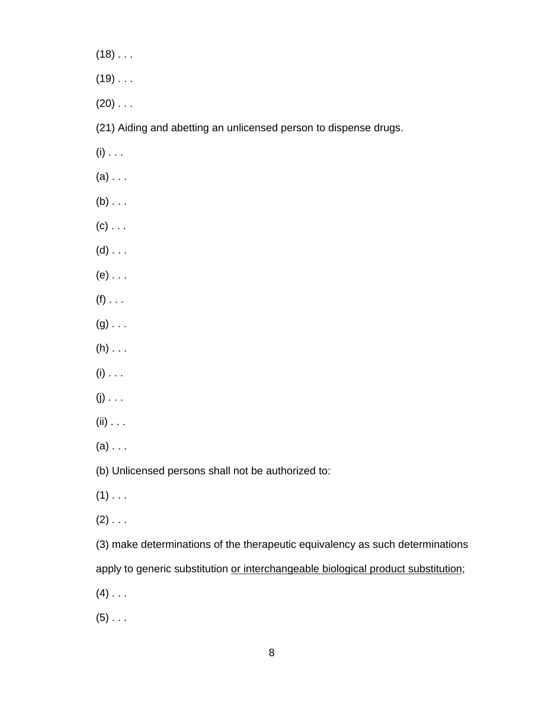$(18)$  . . .

 $(19)$  . . .

 $(20)$  . . .

(21) Aiding and abetting an unlicensed person to dispense drugs.

- $(i)$  . . .
- $(a)$  . . .
- $(b) \ldots$
- $(c)$  . . .
- $(d) \ldots$
- $(e) \ldots$
- $(f)$  . . .
- $(g)$  ...
- $(h)$  . . .
- $(i)$  . . .
- $(j)$  . . .
- $(ii) \ldots$
- $(a)$  . . .

(b) Unlicensed persons shall not be authorized to:

- $(1)$  . . .
- $(2)$  . . .

(3) make determinations of the therapeutic equivalency as such determinations apply to generic substitution or interchangeable biological product substitution;

 $(4)$  . . .

 $(5)$  . . .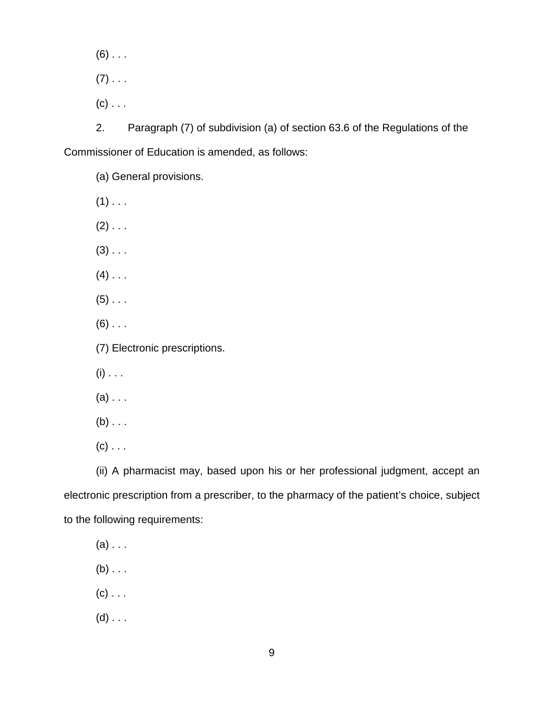$(6)$  . . .  $(7)$  . . .

 $(c)$  . . .

2. Paragraph (7) of subdivision (a) of section 63.6 of the Regulations of the Commissioner of Education is amended, as follows:

- (a) General provisions.
- $(1)$  . . .
- $(2)$  . . .
- $(3)$  . . .
- $(4)$  . . .
- $(5)$  . . .
- $(6)$  ...
- (7) Electronic prescriptions.
- $(i)$  . . .
- $(a) \ldots$
- $(b) \ldots$
- $(c)$  . . .

(ii) A pharmacist may, based upon his or her professional judgment, accept an electronic prescription from a prescriber, to the pharmacy of the patient's choice, subject to the following requirements:

- $(a)$  ...
- $(b) \ldots$
- $(c)$  . . .
- $(d) \ldots$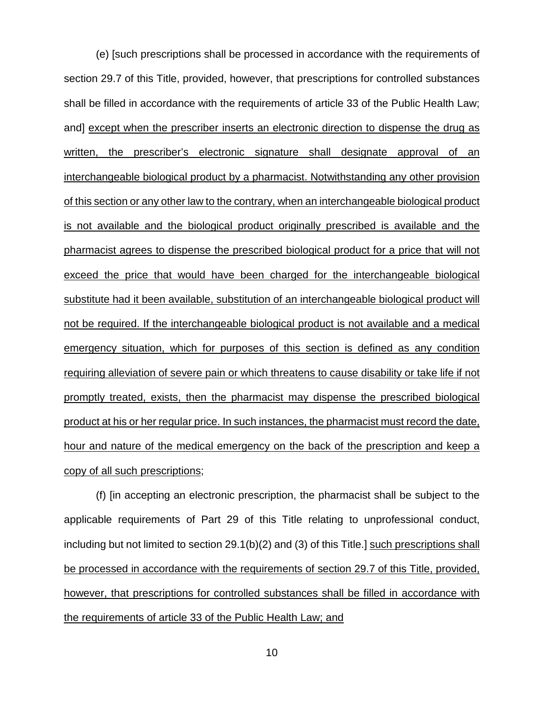(e) [such prescriptions shall be processed in accordance with the requirements of section 29.7 of this Title, provided, however, that prescriptions for controlled substances shall be filled in accordance with the requirements of article 33 of the Public Health Law; and] except when the prescriber inserts an electronic direction to dispense the drug as written, the prescriber's electronic signature shall designate approval of an interchangeable biological product by a pharmacist. Notwithstanding any other provision of this section or any other law to the contrary, when an interchangeable biological product is not available and the biological product originally prescribed is available and the pharmacist agrees to dispense the prescribed biological product for a price that will not exceed the price that would have been charged for the interchangeable biological substitute had it been available, substitution of an interchangeable biological product will not be required. If the interchangeable biological product is not available and a medical emergency situation, which for purposes of this section is defined as any condition requiring alleviation of severe pain or which threatens to cause disability or take life if not promptly treated, exists, then the pharmacist may dispense the prescribed biological product at his or her regular price. In such instances, the pharmacist must record the date, hour and nature of the medical emergency on the back of the prescription and keep a copy of all such prescriptions;

(f) [in accepting an electronic prescription, the pharmacist shall be subject to the applicable requirements of Part 29 of this Title relating to unprofessional conduct, including but not limited to section 29.1(b)(2) and (3) of this Title.] such prescriptions shall be processed in accordance with the requirements of section 29.7 of this Title, provided, however, that prescriptions for controlled substances shall be filled in accordance with the requirements of article 33 of the Public Health Law; and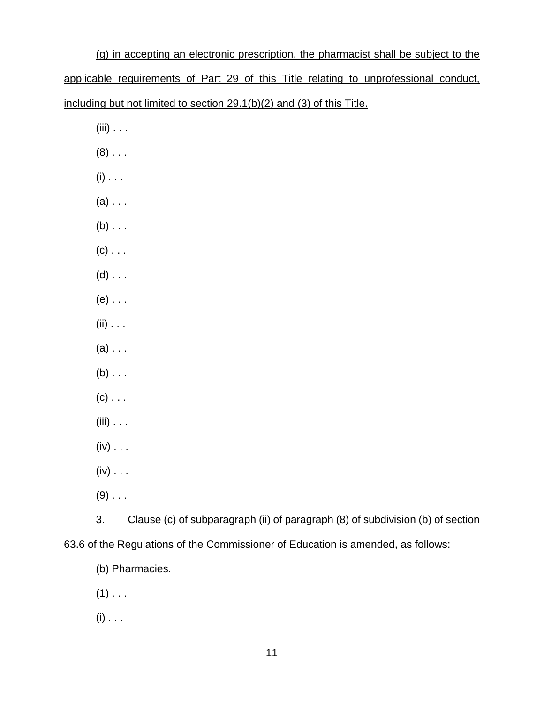(g) in accepting an electronic prescription, the pharmacist shall be subject to the applicable requirements of Part 29 of this Title relating to unprofessional conduct, including but not limited to section 29.1(b)(2) and (3) of this Title.

 $(iii)$  . . .

- $(8)$  . . .
- $(i)$  . . .
- $(a)$  . . .
- $(b) \ldots$
- $(c)$  . . .
- $(d)$  . . .
- $(e)$  . . .
- $(ii) \ldots$
- $(a)$  . . .
- $(b) \ldots$
- $(c)$  . . .
- $(iii) \ldots$
- $(iv) \ldots$
- $(iv) \ldots$
- $(9)$  ...

3. Clause (c) of subparagraph (ii) of paragraph (8) of subdivision (b) of section 63.6 of the Regulations of the Commissioner of Education is amended, as follows:

- (b) Pharmacies.
- $(1)$  . . .
- $(i)$  . . .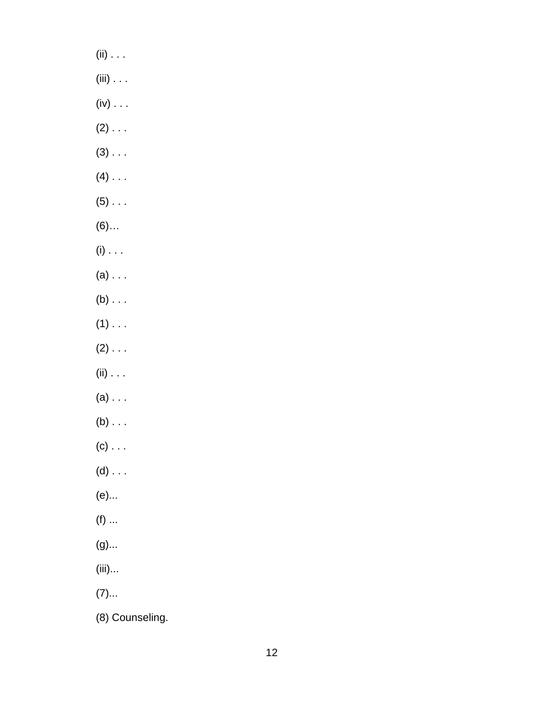(ii)  $\ldots$ (iii) . . . (iv)  $\ldots$  $(2) \ldots$  $(3) \ldots$  $(4)$  ...  $(5) \ldots$  $(6)$ ...  $(i)$ ...  $(a) \ldots$  $(b)$ ...  $(1)$  ...  $(2) \ldots$  $(ii) \ldots$  $(a) \ldots$  $(b) \ldots$  $(c)$ ...  $(d)$ ...  $(e)$ ... (f)  $\ldots$  $(g)$ ...  $(iii)$ ...  $(7) \dots$ 

(8) Counseling.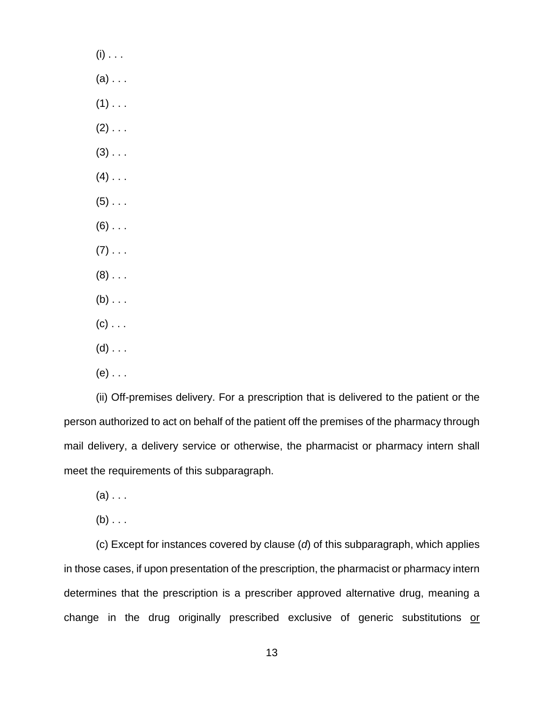$(i)$  . . .  $(a)$  . . .  $(1)$  . . .  $(2)$  . . .  $(3)$  . . .  $(4)$  . . .  $(5)$  . . .  $(6)$  . . .  $(7)$  . . .  $(8)$  . . .  $(b)$  . . .  $(c)$  . . .  $(d)$  . . .  $(e)$  . . .

(ii) Off-premises delivery. For a prescription that is delivered to the patient or the person authorized to act on behalf of the patient off the premises of the pharmacy through mail delivery, a delivery service or otherwise, the pharmacist or pharmacy intern shall meet the requirements of this subparagraph.

 $(a)$  . . .

 $(b) \ldots$ 

(c) Except for instances covered by clause (*d*) of this subparagraph, which applies in those cases, if upon presentation of the prescription, the pharmacist or pharmacy intern determines that the prescription is a prescriber approved alternative drug, meaning a change in the drug originally prescribed exclusive of generic substitutions or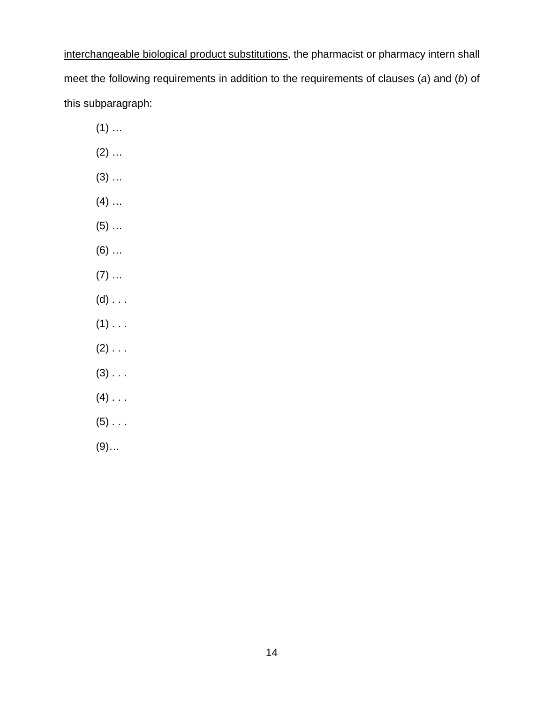interchangeable biological product substitutions, the pharmacist or pharmacy intern shall meet the following requirements in addition to the requirements of clauses (*a*) and (*b*) of this subparagraph:

- $(1)$  …
- (2) …
- (3) …
- $(4)$  ...
- (5) …
- (6) …
- $(7)$  …
- $(d)$  . . .
- $(1)$  . . .
- $(2) \ldots$
- $(3)$  . . .
- $(4)$  . . .
- $(5)$  . . .
- (9)…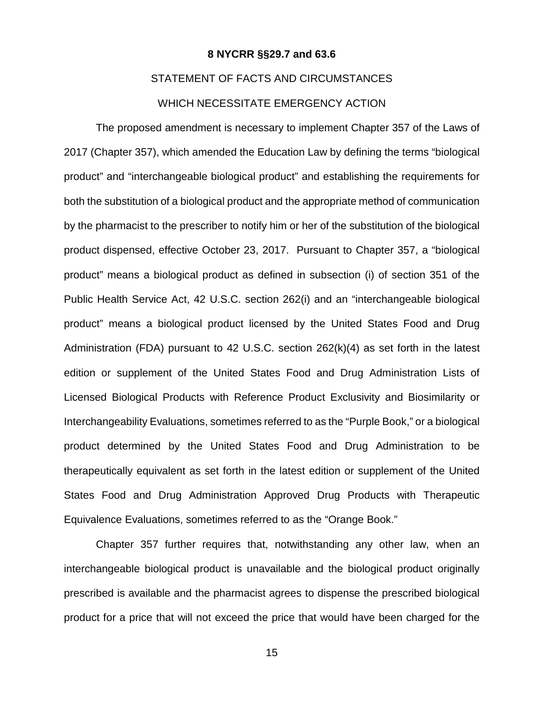#### **8 NYCRR §§29.7 and 63.6**

#### STATEMENT OF FACTS AND CIRCUMSTANCES

#### WHICH NECESSITATE EMERGENCY ACTION

The proposed amendment is necessary to implement Chapter 357 of the Laws of 2017 (Chapter 357), which amended the Education Law by defining the terms "biological product" and "interchangeable biological product" and establishing the requirements for both the substitution of a biological product and the appropriate method of communication by the pharmacist to the prescriber to notify him or her of the substitution of the biological product dispensed, effective October 23, 2017. Pursuant to Chapter 357, a "biological product" means a biological product as defined in subsection (i) of section 351 of the Public Health Service Act, 42 U.S.C. section 262(i) and an "interchangeable biological product" means a biological product licensed by the United States Food and Drug Administration (FDA) pursuant to 42 U.S.C. section 262(k)(4) as set forth in the latest edition or supplement of the United States Food and Drug Administration Lists of Licensed Biological Products with Reference Product Exclusivity and Biosimilarity or Interchangeability Evaluations, sometimes referred to as the "Purple Book," or a biological product determined by the United States Food and Drug Administration to be therapeutically equivalent as set forth in the latest edition or supplement of the United States Food and Drug Administration Approved Drug Products with Therapeutic Equivalence Evaluations, sometimes referred to as the "Orange Book."

Chapter 357 further requires that, notwithstanding any other law, when an interchangeable biological product is unavailable and the biological product originally prescribed is available and the pharmacist agrees to dispense the prescribed biological product for a price that will not exceed the price that would have been charged for the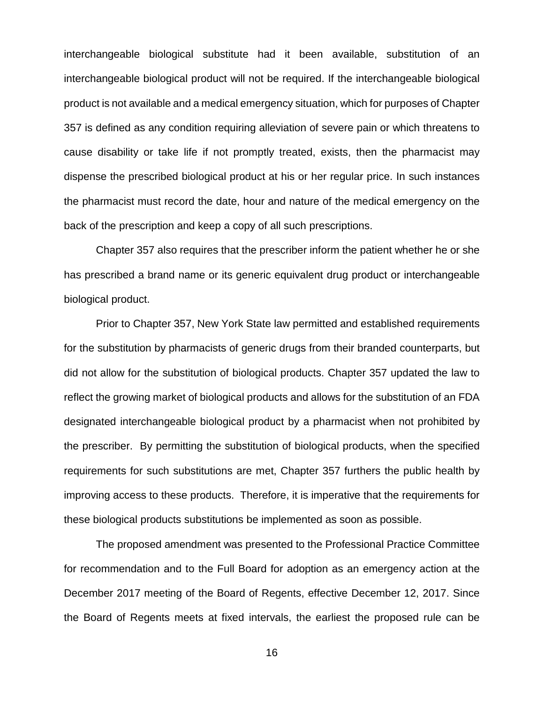interchangeable biological substitute had it been available, substitution of an interchangeable biological product will not be required. If the interchangeable biological product is not available and a medical emergency situation, which for purposes of Chapter 357 is defined as any condition requiring alleviation of severe pain or which threatens to cause disability or take life if not promptly treated, exists, then the pharmacist may dispense the prescribed biological product at his or her regular price. In such instances the pharmacist must record the date, hour and nature of the medical emergency on the back of the prescription and keep a copy of all such prescriptions.

Chapter 357 also requires that the prescriber inform the patient whether he or she has prescribed a brand name or its generic equivalent drug product or interchangeable biological product.

Prior to Chapter 357, New York State law permitted and established requirements for the substitution by pharmacists of generic drugs from their branded counterparts, but did not allow for the substitution of biological products. Chapter 357 updated the law to reflect the growing market of biological products and allows for the substitution of an FDA designated interchangeable biological product by a pharmacist when not prohibited by the prescriber. By permitting the substitution of biological products, when the specified requirements for such substitutions are met, Chapter 357 furthers the public health by improving access to these products. Therefore, it is imperative that the requirements for these biological products substitutions be implemented as soon as possible.

The proposed amendment was presented to the Professional Practice Committee for recommendation and to the Full Board for adoption as an emergency action at the December 2017 meeting of the Board of Regents, effective December 12, 2017. Since the Board of Regents meets at fixed intervals, the earliest the proposed rule can be